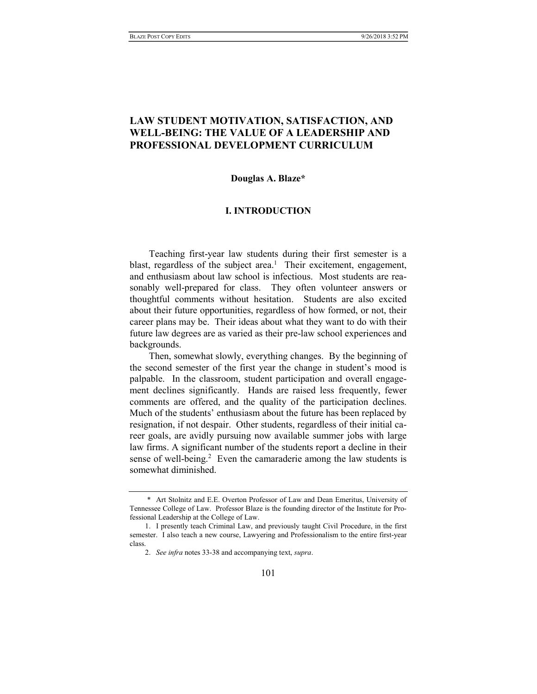# LAW STUDENT MOTIVATION, SATISFACTION, AND WELL-BEING: THE VALUE OF A LEADERSHIP AND PROFESSIONAL DEVELOPMENT CURRICULUM

## Douglas A. Blaze\*

#### I. INTRODUCTION

Teaching first-year law students during their first semester is a blast, regardless of the subject area.<sup>1</sup> Their excitement, engagement, and enthusiasm about law school is infectious. Most students are reasonably well-prepared for class. They often volunteer answers or thoughtful comments without hesitation. Students are also excited about their future opportunities, regardless of how formed, or not, their career plans may be. Their ideas about what they want to do with their future law degrees are as varied as their pre-law school experiences and backgrounds.

Then, somewhat slowly, everything changes. By the beginning of the second semester of the first year the change in student's mood is palpable. In the classroom, student participation and overall engagement declines significantly. Hands are raised less frequently, fewer comments are offered, and the quality of the participation declines. Much of the students' enthusiasm about the future has been replaced by resignation, if not despair. Other students, regardless of their initial career goals, are avidly pursuing now available summer jobs with large law firms. A significant number of the students report a decline in their sense of well-being.<sup>2</sup> Even the camaraderie among the law students is somewhat diminished.

 <sup>\*</sup> Art Stolnitz and E.E. Overton Professor of Law and Dean Emeritus, University of Tennessee College of Law. Professor Blaze is the founding director of the Institute for Professional Leadership at the College of Law.

 <sup>1.</sup> I presently teach Criminal Law, and previously taught Civil Procedure, in the first semester. I also teach a new course, Lawyering and Professionalism to the entire first-year class.

 <sup>2.</sup> See infra notes 33-38 and accompanying text, supra.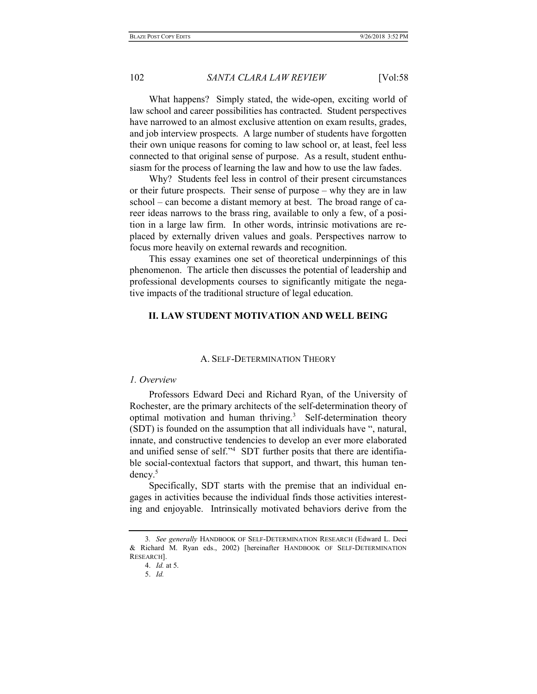What happens? Simply stated, the wide-open, exciting world of law school and career possibilities has contracted. Student perspectives have narrowed to an almost exclusive attention on exam results, grades, and job interview prospects. A large number of students have forgotten their own unique reasons for coming to law school or, at least, feel less connected to that original sense of purpose. As a result, student enthusiasm for the process of learning the law and how to use the law fades.

Why? Students feel less in control of their present circumstances or their future prospects. Their sense of purpose – why they are in law school – can become a distant memory at best. The broad range of career ideas narrows to the brass ring, available to only a few, of a position in a large law firm. In other words, intrinsic motivations are replaced by externally driven values and goals. Perspectives narrow to focus more heavily on external rewards and recognition.

This essay examines one set of theoretical underpinnings of this phenomenon. The article then discusses the potential of leadership and professional developments courses to significantly mitigate the negative impacts of the traditional structure of legal education.

## II. LAW STUDENT MOTIVATION AND WELL BEING

#### A. SELF-DETERMINATION THEORY

## 1. Overview

Professors Edward Deci and Richard Ryan, of the University of Rochester, are the primary architects of the self-determination theory of optimal motivation and human thriving.<sup>3</sup> Self-determination theory (SDT) is founded on the assumption that all individuals have ", natural, innate, and constructive tendencies to develop an ever more elaborated and unified sense of self."<sup>4</sup> SDT further posits that there are identifiable social-contextual factors that support, and thwart, this human tendency.<sup>5</sup>

Specifically, SDT starts with the premise that an individual engages in activities because the individual finds those activities interesting and enjoyable. Intrinsically motivated behaviors derive from the

<sup>3</sup>. See generally HANDBOOK OF SELF-DETERMINATION RESEARCH (Edward L. Deci & Richard M. Ryan eds., 2002) [hereinafter HANDBOOK OF SELF-DETERMINATION RESEARCH].

 <sup>4.</sup> Id. at 5.

 <sup>5.</sup> Id.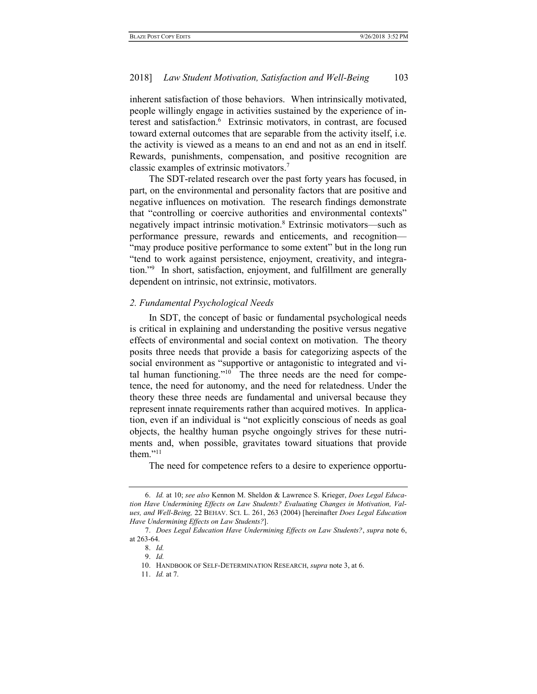inherent satisfaction of those behaviors. When intrinsically motivated, people willingly engage in activities sustained by the experience of interest and satisfaction.<sup>6</sup> Extrinsic motivators, in contrast, are focused toward external outcomes that are separable from the activity itself, i.e. the activity is viewed as a means to an end and not as an end in itself. Rewards, punishments, compensation, and positive recognition are classic examples of extrinsic motivators.<sup>7</sup>

The SDT-related research over the past forty years has focused, in part, on the environmental and personality factors that are positive and negative influences on motivation. The research findings demonstrate that "controlling or coercive authorities and environmental contexts" negatively impact intrinsic motivation.<sup>8</sup> Extrinsic motivators—such as performance pressure, rewards and enticements, and recognition— "may produce positive performance to some extent" but in the long run "tend to work against persistence, enjoyment, creativity, and integration."<sup>9</sup> In short, satisfaction, enjoyment, and fulfillment are generally dependent on intrinsic, not extrinsic, motivators.

#### 2. Fundamental Psychological Needs

In SDT, the concept of basic or fundamental psychological needs is critical in explaining and understanding the positive versus negative effects of environmental and social context on motivation. The theory posits three needs that provide a basis for categorizing aspects of the social environment as "supportive or antagonistic to integrated and vital human functioning."<sup>10</sup> The three needs are the need for competence, the need for autonomy, and the need for relatedness. Under the theory these three needs are fundamental and universal because they represent innate requirements rather than acquired motives. In application, even if an individual is "not explicitly conscious of needs as goal objects, the healthy human psyche ongoingly strives for these nutriments and, when possible, gravitates toward situations that provide them." $11$ 

The need for competence refers to a desire to experience opportu-

 <sup>6.</sup> Id. at 10; see also Kennon M. Sheldon & Lawrence S. Krieger, Does Legal Education Have Undermining Effects on Law Students? Evaluating Changes in Motivation, Values, and Well-Being, 22 BEHAV. SCI. L. 261, 263 (2004) [hereinafter Does Legal Education Have Undermining Effects on Law Students?].

 <sup>7.</sup> Does Legal Education Have Undermining Effects on Law Students?, supra note 6, at 263-64.

 <sup>8.</sup> Id.

 <sup>9.</sup> Id.

 <sup>10.</sup> HANDBOOK OF SELF-DETERMINATION RESEARCH, supra note 3, at 6.

 <sup>11.</sup> Id. at 7.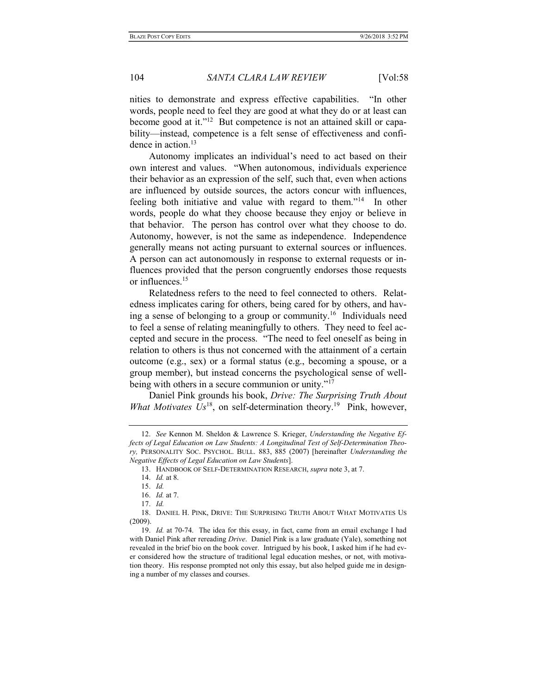nities to demonstrate and express effective capabilities. "In other words, people need to feel they are good at what they do or at least can become good at it."12 But competence is not an attained skill or capability—instead, competence is a felt sense of effectiveness and confidence in action.<sup>13</sup>

Autonomy implicates an individual's need to act based on their own interest and values. "When autonomous, individuals experience their behavior as an expression of the self, such that, even when actions are influenced by outside sources, the actors concur with influences, feeling both initiative and value with regard to them."<sup>14</sup> In other words, people do what they choose because they enjoy or believe in that behavior. The person has control over what they choose to do. Autonomy, however, is not the same as independence. Independence generally means not acting pursuant to external sources or influences. A person can act autonomously in response to external requests or influences provided that the person congruently endorses those requests or influences.<sup>15</sup>

Relatedness refers to the need to feel connected to others. Relatedness implicates caring for others, being cared for by others, and having a sense of belonging to a group or community.<sup>16</sup> Individuals need to feel a sense of relating meaningfully to others. They need to feel accepted and secure in the process. "The need to feel oneself as being in relation to others is thus not concerned with the attainment of a certain outcome (e.g., sex) or a formal status (e.g., becoming a spouse, or a group member), but instead concerns the psychological sense of wellbeing with others in a secure communion or unity."<sup>17</sup>

Daniel Pink grounds his book, Drive: The Surprising Truth About What Motivates  $Us^{18}$ , on self-determination theory.<sup>19</sup> Pink, however,

<sup>12.</sup> See Kennon M. Sheldon & Lawrence S. Krieger, Understanding the Negative Effects of Legal Education on Law Students: A Longitudinal Test of Self-Determination Theory, PERSONALITY SOC. PSYCHOL. BULL. 883, 885 (2007) [hereinafter Understanding the Negative Effects of Legal Education on Law Students].

 <sup>13.</sup> HANDBOOK OF SELF-DETERMINATION RESEARCH, supra note 3, at 7.

 <sup>14.</sup> Id. at 8.

 <sup>15.</sup> Id.

 <sup>16.</sup> Id. at 7.

 <sup>17.</sup> Id.

 <sup>18.</sup> DANIEL H. PINK, DRIVE: THE SURPRISING TRUTH ABOUT WHAT MOTIVATES US (2009).

 <sup>19.</sup> Id. at 70-74. The idea for this essay, in fact, came from an email exchange I had with Daniel Pink after rereading *Drive*. Daniel Pink is a law graduate (Yale), something not revealed in the brief bio on the book cover. Intrigued by his book, I asked him if he had ever considered how the structure of traditional legal education meshes, or not, with motivation theory. His response prompted not only this essay, but also helped guide me in designing a number of my classes and courses.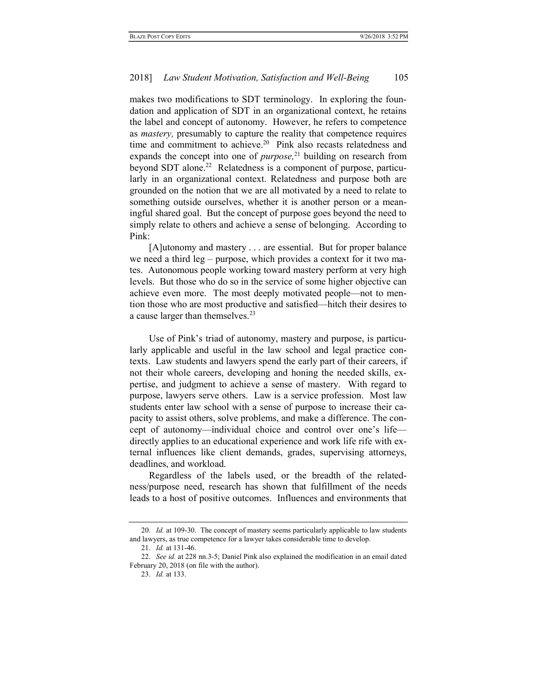makes two modifications to SDT terminology. In exploring the foundation and application of SDT in an organizational context, he retains the label and concept of autonomy. However, he refers to competence as mastery, presumably to capture the reality that competence requires time and commitment to achieve.<sup>20</sup> Pink also recasts relatedness and expands the concept into one of  $\text{purpose},^{21}$  building on research from beyond SDT alone.<sup>22</sup> Relatedness is a component of purpose, particularly in an organizational context. Relatedness and purpose both are grounded on the notion that we are all motivated by a need to relate to something outside ourselves, whether it is another person or a meaningful shared goal. But the concept of purpose goes beyond the need to simply relate to others and achieve a sense of belonging. According to Pink:

[A]utonomy and mastery . . . are essential. But for proper balance we need a third leg – purpose, which provides a context for it two mates. Autonomous people working toward mastery perform at very high levels. But those who do so in the service of some higher objective can achieve even more. The most deeply motivated people—not to mention those who are most productive and satisfied—hitch their desires to a cause larger than themselves.<sup>23</sup>

Use of Pink's triad of autonomy, mastery and purpose, is particularly applicable and useful in the law school and legal practice contexts. Law students and lawyers spend the early part of their careers, if not their whole careers, developing and honing the needed skills, expertise, and judgment to achieve a sense of mastery. With regard to purpose, lawyers serve others. Law is a service profession. Most law students enter law school with a sense of purpose to increase their capacity to assist others, solve problems, and make a difference. The concept of autonomy—individual choice and control over one's life directly applies to an educational experience and work life rife with external influences like client demands, grades, supervising attorneys, deadlines, and workload.

Regardless of the labels used, or the breadth of the relatedness/purpose need, research has shown that fulfillment of the needs leads to a host of positive outcomes. Influences and environments that

<sup>20.</sup> Id. at 109-30. The concept of mastery seems particularly applicable to law students and lawyers, as true competence for a lawyer takes considerable time to develop.

 <sup>21.</sup> Id. at 131-46.

<sup>22.</sup> See id. at 228 nn.3-5; Daniel Pink also explained the modification in an email dated February 20, 2018 (on file with the author).

 <sup>23.</sup> Id. at 133.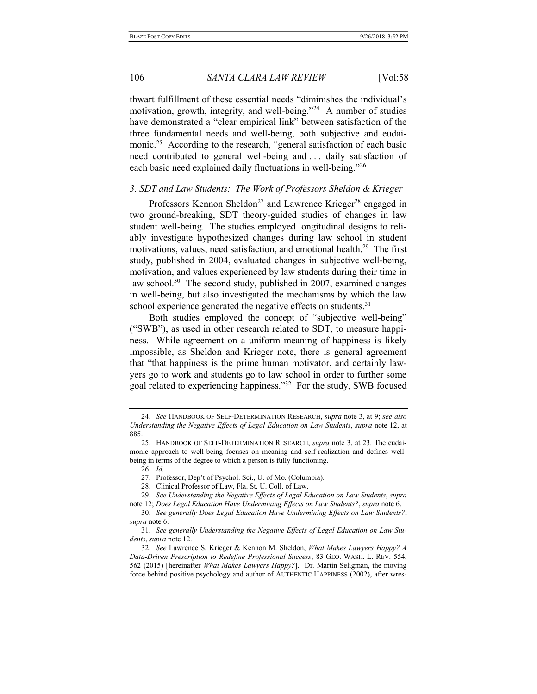thwart fulfillment of these essential needs "diminishes the individual's motivation, growth, integrity, and well-being."<sup>24</sup> A number of studies have demonstrated a "clear empirical link" between satisfaction of the three fundamental needs and well-being, both subjective and eudaimonic.<sup>25</sup> According to the research, "general satisfaction of each basic need contributed to general well-being and . . . daily satisfaction of each basic need explained daily fluctuations in well-being."<sup>26</sup>

## 3. SDT and Law Students: The Work of Professors Sheldon & Krieger

Professors Kennon Sheldon<sup>27</sup> and Lawrence Krieger<sup>28</sup> engaged in two ground-breaking, SDT theory-guided studies of changes in law student well-being. The studies employed longitudinal designs to reliably investigate hypothesized changes during law school in student motivations, values, need satisfaction, and emotional health.<sup>29</sup> The first study, published in 2004, evaluated changes in subjective well-being, motivation, and values experienced by law students during their time in law school.<sup>30</sup> The second study, published in 2007, examined changes in well-being, but also investigated the mechanisms by which the law school experience generated the negative effects on students.<sup>31</sup>

Both studies employed the concept of "subjective well-being" ("SWB"), as used in other research related to SDT, to measure happiness. While agreement on a uniform meaning of happiness is likely impossible, as Sheldon and Krieger note, there is general agreement that "that happiness is the prime human motivator, and certainly lawyers go to work and students go to law school in order to further some goal related to experiencing happiness."<sup>32</sup> For the study, SWB focused

26. Id.

<sup>24.</sup> See HANDBOOK OF SELF-DETERMINATION RESEARCH, supra note 3, at 9; see also Understanding the Negative Effects of Legal Education on Law Students, supra note 12, at 885.

<sup>25.</sup> HANDBOOK OF SELF-DETERMINATION RESEARCH, supra note 3, at 23. The eudaimonic approach to well-being focuses on meaning and self-realization and defines wellbeing in terms of the degree to which a person is fully functioning.

 <sup>27.</sup> Professor, Dep't of Psychol. Sci., U. of Mo. (Columbia).

 <sup>28.</sup> Clinical Professor of Law, Fla. St. U. Coll. of Law.

 <sup>29.</sup> See Understanding the Negative Effects of Legal Education on Law Students, supra note 12; Does Legal Education Have Undermining Effects on Law Students?, supra note 6.

 <sup>30.</sup> See generally Does Legal Education Have Undermining Effects on Law Students?, supra note 6.

 <sup>31.</sup> See generally Understanding the Negative Effects of Legal Education on Law Students, supra note 12.

 <sup>32.</sup> See Lawrence S. Krieger & Kennon M. Sheldon, What Makes Lawyers Happy? A Data-Driven Prescription to Redefine Professional Success, 83 GEO. WASH. L. REV. 554, 562 (2015) [hereinafter What Makes Lawyers Happy?]. Dr. Martin Seligman, the moving force behind positive psychology and author of AUTHENTIC HAPPINESS (2002), after wres-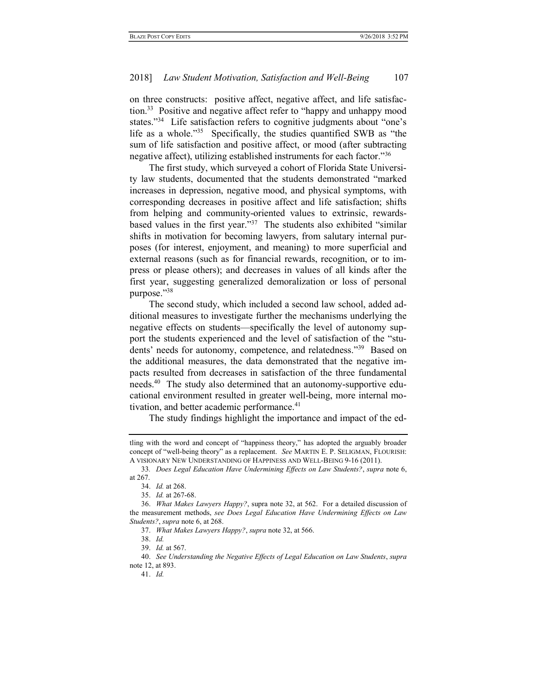on three constructs: positive affect, negative affect, and life satisfaction.<sup>33</sup> Positive and negative affect refer to "happy and unhappy mood states."<sup>34</sup> Life satisfaction refers to cognitive judgments about "one's life as a whole."<sup>35</sup> Specifically, the studies quantified SWB as "the sum of life satisfaction and positive affect, or mood (after subtracting negative affect), utilizing established instruments for each factor."<sup>36</sup>

The first study, which surveyed a cohort of Florida State University law students, documented that the students demonstrated "marked increases in depression, negative mood, and physical symptoms, with corresponding decreases in positive affect and life satisfaction; shifts from helping and community-oriented values to extrinsic, rewardsbased values in the first year."<sup>37</sup> The students also exhibited "similar shifts in motivation for becoming lawyers, from salutary internal purposes (for interest, enjoyment, and meaning) to more superficial and external reasons (such as for financial rewards, recognition, or to impress or please others); and decreases in values of all kinds after the first year, suggesting generalized demoralization or loss of personal purpose."<sup>38</sup>

The second study, which included a second law school, added additional measures to investigate further the mechanisms underlying the negative effects on students—specifically the level of autonomy support the students experienced and the level of satisfaction of the "students' needs for autonomy, competence, and relatedness."<sup>39</sup> Based on the additional measures, the data demonstrated that the negative impacts resulted from decreases in satisfaction of the three fundamental needs.<sup>40</sup> The study also determined that an autonomy-supportive educational environment resulted in greater well-being, more internal motivation, and better academic performance.<sup>41</sup>

The study findings highlight the importance and impact of the ed-

tling with the word and concept of "happiness theory," has adopted the arguably broader concept of "well-being theory" as a replacement. See MARTIN E. P. SELIGMAN, FLOURISH: A VISIONARY NEW UNDERSTANDING OF HAPPINESS AND WELL-BEING 9-16 (2011).

<sup>33</sup>. Does Legal Education Have Undermining Effects on Law Students?, supra note 6, at 267.

 <sup>34.</sup> Id. at 268.

 <sup>35.</sup> Id. at 267-68.

 <sup>36.</sup> What Makes Lawyers Happy?, supra note 32, at 562. For a detailed discussion of the measurement methods, see Does Legal Education Have Undermining Effects on Law Students?, supra note 6, at 268.

 <sup>37.</sup> What Makes Lawyers Happy?, supra note 32, at 566.

 <sup>38.</sup> Id.

 <sup>39.</sup> Id. at 567.

 <sup>40.</sup> See Understanding the Negative Effects of Legal Education on Law Students, supra note 12, at 893.

 <sup>41.</sup> Id.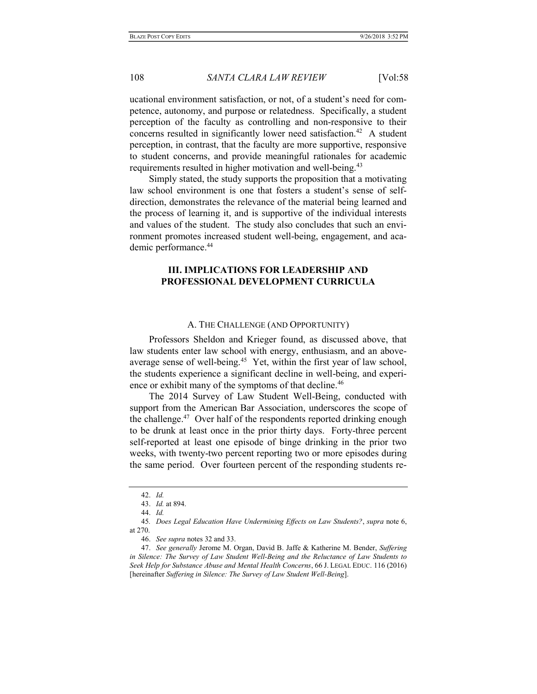ucational environment satisfaction, or not, of a student's need for competence, autonomy, and purpose or relatedness. Specifically, a student perception of the faculty as controlling and non-responsive to their concerns resulted in significantly lower need satisfaction.<sup>42</sup> A student perception, in contrast, that the faculty are more supportive, responsive to student concerns, and provide meaningful rationales for academic requirements resulted in higher motivation and well-being.<sup>43</sup>

Simply stated, the study supports the proposition that a motivating law school environment is one that fosters a student's sense of selfdirection, demonstrates the relevance of the material being learned and the process of learning it, and is supportive of the individual interests and values of the student. The study also concludes that such an environment promotes increased student well-being, engagement, and academic performance.<sup>44</sup>

## III. IMPLICATIONS FOR LEADERSHIP AND PROFESSIONAL DEVELOPMENT CURRICULA

#### A. THE CHALLENGE (AND OPPORTUNITY)

Professors Sheldon and Krieger found, as discussed above, that law students enter law school with energy, enthusiasm, and an aboveaverage sense of well-being.<sup>45</sup> Yet, within the first year of law school, the students experience a significant decline in well-being, and experience or exhibit many of the symptoms of that decline.<sup>46</sup>

The 2014 Survey of Law Student Well-Being, conducted with support from the American Bar Association, underscores the scope of the challenge.<sup>47</sup> Over half of the respondents reported drinking enough to be drunk at least once in the prior thirty days. Forty-three percent self-reported at least one episode of binge drinking in the prior two weeks, with twenty-two percent reporting two or more episodes during the same period. Over fourteen percent of the responding students re-

 <sup>42.</sup> Id.

 <sup>43.</sup> Id. at 894.

 <sup>44.</sup> Id.

<sup>45</sup>. Does Legal Education Have Undermining Effects on Law Students?, supra note 6, at 270.

 <sup>46.</sup> See supra notes 32 and 33.

<sup>47.</sup> See generally Jerome M. Organ, David B. Jaffe & Katherine M. Bender, Suffering in Silence: The Survey of Law Student Well-Being and the Reluctance of Law Students to Seek Help for Substance Abuse and Mental Health Concerns, 66 J. LEGAL EDUC. 116 (2016) [hereinafter Suffering in Silence: The Survey of Law Student Well-Being].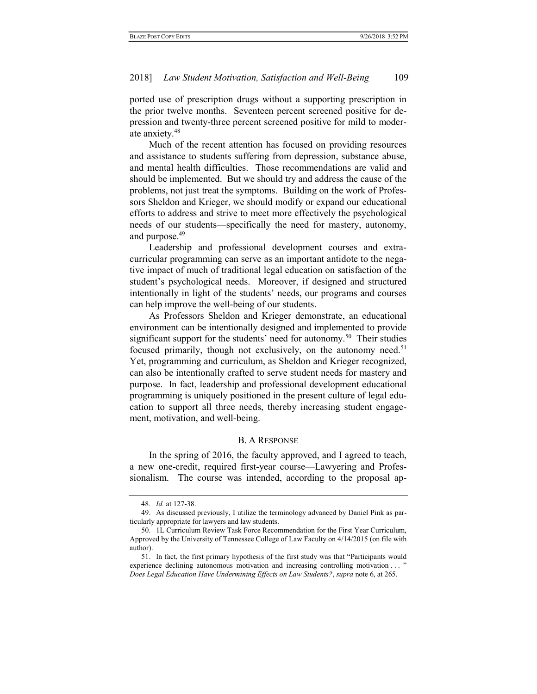ported use of prescription drugs without a supporting prescription in the prior twelve months. Seventeen percent screened positive for depression and twenty-three percent screened positive for mild to moderate anxiety.<sup>48</sup>

Much of the recent attention has focused on providing resources and assistance to students suffering from depression, substance abuse, and mental health difficulties. Those recommendations are valid and should be implemented. But we should try and address the cause of the problems, not just treat the symptoms. Building on the work of Professors Sheldon and Krieger, we should modify or expand our educational efforts to address and strive to meet more effectively the psychological needs of our students—specifically the need for mastery, autonomy, and purpose.<sup>49</sup>

Leadership and professional development courses and extracurricular programming can serve as an important antidote to the negative impact of much of traditional legal education on satisfaction of the student's psychological needs. Moreover, if designed and structured intentionally in light of the students' needs, our programs and courses can help improve the well-being of our students.

As Professors Sheldon and Krieger demonstrate, an educational environment can be intentionally designed and implemented to provide significant support for the students' need for autonomy.<sup>50</sup> Their studies focused primarily, though not exclusively, on the autonomy need.<sup>51</sup> Yet, programming and curriculum, as Sheldon and Krieger recognized, can also be intentionally crafted to serve student needs for mastery and purpose. In fact, leadership and professional development educational programming is uniquely positioned in the present culture of legal education to support all three needs, thereby increasing student engagement, motivation, and well-being.

#### B. A RESPONSE

In the spring of 2016, the faculty approved, and I agreed to teach, a new one-credit, required first-year course—Lawyering and Professionalism. The course was intended, according to the proposal ap-

 <sup>48.</sup> Id. at 127-38.

 <sup>49.</sup> As discussed previously, I utilize the terminology advanced by Daniel Pink as particularly appropriate for lawyers and law students.

 <sup>50. 1</sup>L Curriculum Review Task Force Recommendation for the First Year Curriculum, Approved by the University of Tennessee College of Law Faculty on 4/14/2015 (on file with author).

 <sup>51.</sup> In fact, the first primary hypothesis of the first study was that "Participants would experience declining autonomous motivation and increasing controlling motivation . . . " Does Legal Education Have Undermining Effects on Law Students?, supra note 6, at 265.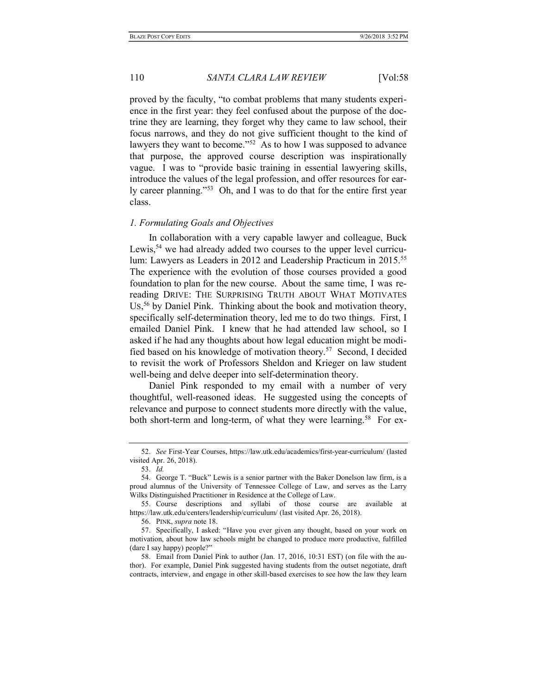proved by the faculty, "to combat problems that many students experience in the first year: they feel confused about the purpose of the doctrine they are learning, they forget why they came to law school, their focus narrows, and they do not give sufficient thought to the kind of lawyers they want to become."<sup>52</sup> As to how I was supposed to advance that purpose, the approved course description was inspirationally vague. I was to "provide basic training in essential lawyering skills, introduce the values of the legal profession, and offer resources for early career planning."<sup>53</sup> Oh, and I was to do that for the entire first year class.

#### 1. Formulating Goals and Objectives

In collaboration with a very capable lawyer and colleague, Buck Lewis,<sup>54</sup> we had already added two courses to the upper level curriculum: Lawyers as Leaders in 2012 and Leadership Practicum in 2015.<sup>55</sup> The experience with the evolution of those courses provided a good foundation to plan for the new course. About the same time, I was rereading DRIVE: THE SURPRISING TRUTH ABOUT WHAT MOTIVATES US, <sup>56</sup> by Daniel Pink. Thinking about the book and motivation theory, specifically self-determination theory, led me to do two things. First, I emailed Daniel Pink. I knew that he had attended law school, so I asked if he had any thoughts about how legal education might be modified based on his knowledge of motivation theory.<sup>57</sup> Second, I decided to revisit the work of Professors Sheldon and Krieger on law student well-being and delve deeper into self-determination theory.

Daniel Pink responded to my email with a number of very thoughtful, well-reasoned ideas. He suggested using the concepts of relevance and purpose to connect students more directly with the value, both short-term and long-term, of what they were learning.<sup>58</sup> For ex-

 <sup>52.</sup> See First-Year Courses, https://law.utk.edu/academics/first-year-curriculum/ (lasted visited Apr. 26, 2018).

 <sup>53.</sup> Id.

 <sup>54.</sup> George T. "Buck" Lewis is a senior partner with the Baker Donelson law firm, is a proud alumnus of the University of Tennessee College of Law, and serves as the Larry Wilks Distinguished Practitioner in Residence at the College of Law.

 <sup>55.</sup> Course descriptions and syllabi of those course are available at https://law.utk.edu/centers/leadership/curriculum/ (last visited Apr. 26, 2018).

 <sup>56.</sup> PINK, supra note 18.

 <sup>57.</sup> Specifically, I asked: "Have you ever given any thought, based on your work on motivation, about how law schools might be changed to produce more productive, fulfilled (dare I say happy) people?"

 <sup>58.</sup> Email from Daniel Pink to author (Jan. 17, 2016, 10:31 EST) (on file with the author). For example, Daniel Pink suggested having students from the outset negotiate, draft contracts, interview, and engage in other skill-based exercises to see how the law they learn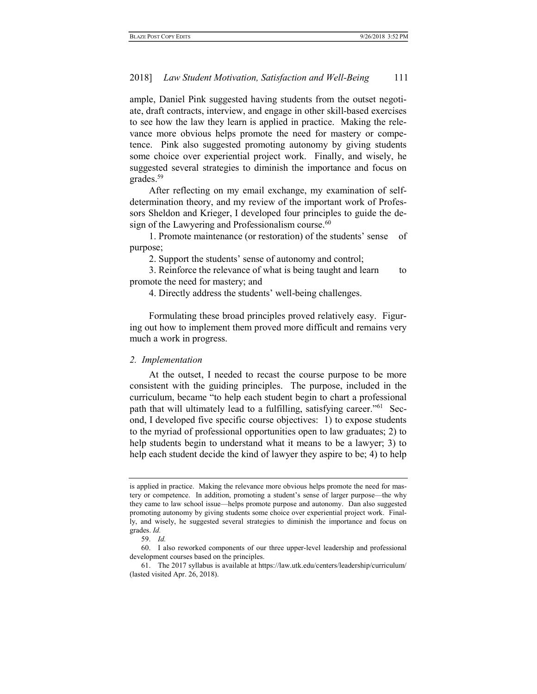ample, Daniel Pink suggested having students from the outset negotiate, draft contracts, interview, and engage in other skill-based exercises to see how the law they learn is applied in practice. Making the relevance more obvious helps promote the need for mastery or competence. Pink also suggested promoting autonomy by giving students some choice over experiential project work. Finally, and wisely, he suggested several strategies to diminish the importance and focus on grades.<sup>59</sup>

After reflecting on my email exchange, my examination of selfdetermination theory, and my review of the important work of Professors Sheldon and Krieger, I developed four principles to guide the design of the Lawyering and Professionalism course.<sup>60</sup>

1. Promote maintenance (or restoration) of the students' sense of purpose;

2. Support the students' sense of autonomy and control;

3. Reinforce the relevance of what is being taught and learn to promote the need for mastery; and

4. Directly address the students' well-being challenges.

Formulating these broad principles proved relatively easy. Figuring out how to implement them proved more difficult and remains very much a work in progress.

## 2. Implementation

At the outset, I needed to recast the course purpose to be more consistent with the guiding principles. The purpose, included in the curriculum, became "to help each student begin to chart a professional path that will ultimately lead to a fulfilling, satisfying career."61 Second, I developed five specific course objectives: 1) to expose students to the myriad of professional opportunities open to law graduates; 2) to help students begin to understand what it means to be a lawyer; 3) to help each student decide the kind of lawyer they aspire to be; 4) to help

is applied in practice. Making the relevance more obvious helps promote the need for mastery or competence. In addition, promoting a student's sense of larger purpose—the why they came to law school issue—helps promote purpose and autonomy. Dan also suggested promoting autonomy by giving students some choice over experiential project work. Finally, and wisely, he suggested several strategies to diminish the importance and focus on grades. Id.

 <sup>59.</sup> Id.

 <sup>60.</sup> I also reworked components of our three upper-level leadership and professional development courses based on the principles.

 <sup>61.</sup> The 2017 syllabus is available at https://law.utk.edu/centers/leadership/curriculum/ (lasted visited Apr. 26, 2018).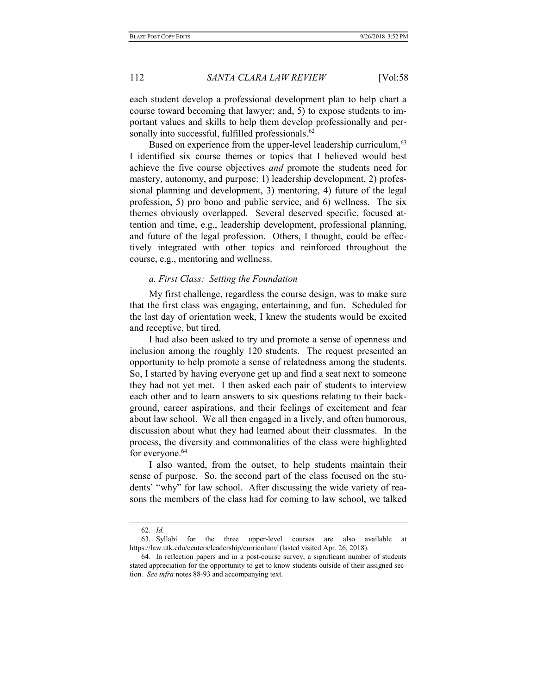each student develop a professional development plan to help chart a course toward becoming that lawyer; and, 5) to expose students to important values and skills to help them develop professionally and personally into successful, fulfilled professionals.<sup>62</sup>

Based on experience from the upper-level leadership curriculum, <sup>63</sup> I identified six course themes or topics that I believed would best achieve the five course objectives and promote the students need for mastery, autonomy, and purpose: 1) leadership development, 2) professional planning and development, 3) mentoring, 4) future of the legal profession, 5) pro bono and public service, and 6) wellness. The six themes obviously overlapped. Several deserved specific, focused attention and time, e.g., leadership development, professional planning, and future of the legal profession. Others, I thought, could be effectively integrated with other topics and reinforced throughout the course, e.g., mentoring and wellness.

#### a. First Class: Setting the Foundation

My first challenge, regardless the course design, was to make sure that the first class was engaging, entertaining, and fun. Scheduled for the last day of orientation week, I knew the students would be excited and receptive, but tired.

I had also been asked to try and promote a sense of openness and inclusion among the roughly 120 students. The request presented an opportunity to help promote a sense of relatedness among the students. So, I started by having everyone get up and find a seat next to someone they had not yet met. I then asked each pair of students to interview each other and to learn answers to six questions relating to their background, career aspirations, and their feelings of excitement and fear about law school. We all then engaged in a lively, and often humorous, discussion about what they had learned about their classmates. In the process, the diversity and commonalities of the class were highlighted for everyone.<sup>64</sup>

I also wanted, from the outset, to help students maintain their sense of purpose. So, the second part of the class focused on the students' "why" for law school. After discussing the wide variety of reasons the members of the class had for coming to law school, we talked

 <sup>62.</sup> Id.

 <sup>63.</sup> Syllabi for the three upper-level courses are also available at https://law.utk.edu/centers/leadership/curriculum/ (lasted visited Apr. 26, 2018).

 <sup>64.</sup> In reflection papers and in a post-course survey, a significant number of students stated appreciation for the opportunity to get to know students outside of their assigned section. See infra notes 88-93 and accompanying text.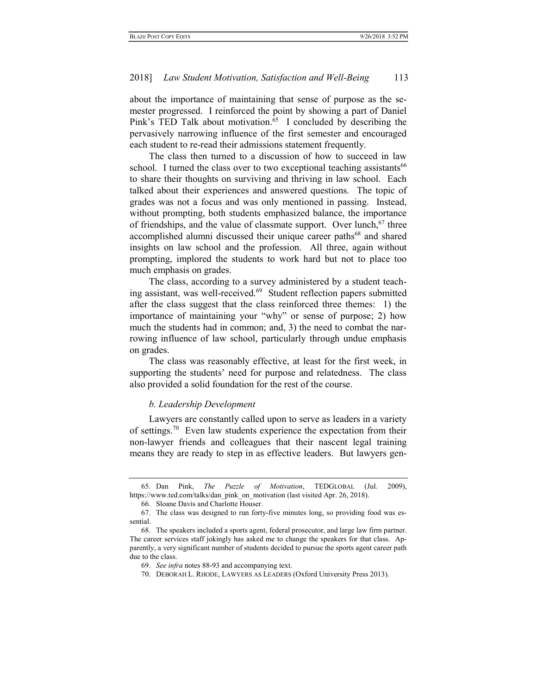about the importance of maintaining that sense of purpose as the semester progressed. I reinforced the point by showing a part of Daniel Pink's TED Talk about motivation.<sup>65</sup> I concluded by describing the pervasively narrowing influence of the first semester and encouraged each student to re-read their admissions statement frequently.

The class then turned to a discussion of how to succeed in law school. I turned the class over to two exceptional teaching assistants<sup>66</sup> to share their thoughts on surviving and thriving in law school. Each talked about their experiences and answered questions. The topic of grades was not a focus and was only mentioned in passing. Instead, without prompting, both students emphasized balance, the importance of friendships, and the value of classmate support. Over lunch,  $67$  three accomplished alumni discussed their unique career paths<sup>68</sup> and shared insights on law school and the profession. All three, again without prompting, implored the students to work hard but not to place too much emphasis on grades.

The class, according to a survey administered by a student teaching assistant, was well-received.<sup>69</sup> Student reflection papers submitted after the class suggest that the class reinforced three themes: 1) the importance of maintaining your "why" or sense of purpose; 2) how much the students had in common; and, 3) the need to combat the narrowing influence of law school, particularly through undue emphasis on grades.

The class was reasonably effective, at least for the first week, in supporting the students' need for purpose and relatedness. The class also provided a solid foundation for the rest of the course.

#### b. Leadership Development

Lawyers are constantly called upon to serve as leaders in a variety of settings.<sup>70</sup> Even law students experience the expectation from their non-lawyer friends and colleagues that their nascent legal training means they are ready to step in as effective leaders. But lawyers gen-

 <sup>65.</sup> Dan Pink, The Puzzle of Motivation, TEDGLOBAL (Jul. 2009), https://www.ted.com/talks/dan\_pink\_on\_motivation (last visited Apr. 26, 2018).

 <sup>66.</sup> Sloane Davis and Charlotte Houser.

 <sup>67.</sup> The class was designed to run forty-five minutes long, so providing food was essential.

 <sup>68.</sup> The speakers included a sports agent, federal prosecutor, and large law firm partner. The career services staff jokingly has asked me to change the speakers for that class. Apparently, a very significant number of students decided to pursue the sports agent career path due to the class.

 <sup>69.</sup> See infra notes 88-93 and accompanying text.

 <sup>70.</sup> DEBORAH L. RHODE, LAWYERS AS LEADERS (Oxford University Press 2013).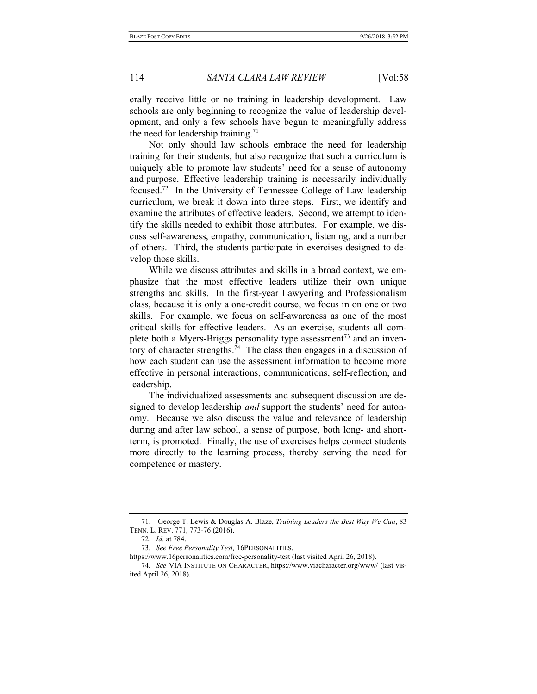erally receive little or no training in leadership development. Law schools are only beginning to recognize the value of leadership development, and only a few schools have begun to meaningfully address the need for leadership training.<sup>71</sup>

Not only should law schools embrace the need for leadership training for their students, but also recognize that such a curriculum is uniquely able to promote law students' need for a sense of autonomy and purpose. Effective leadership training is necessarily individually focused.<sup>72</sup> In the University of Tennessee College of Law leadership curriculum, we break it down into three steps. First, we identify and examine the attributes of effective leaders. Second, we attempt to identify the skills needed to exhibit those attributes. For example, we discuss self-awareness, empathy, communication, listening, and a number of others. Third, the students participate in exercises designed to develop those skills.

While we discuss attributes and skills in a broad context, we emphasize that the most effective leaders utilize their own unique strengths and skills. In the first-year Lawyering and Professionalism class, because it is only a one-credit course, we focus in on one or two skills. For example, we focus on self-awareness as one of the most critical skills for effective leaders. As an exercise, students all complete both a Myers-Briggs personality type assessment<sup>73</sup> and an inventory of character strengths.<sup>74</sup> The class then engages in a discussion of how each student can use the assessment information to become more effective in personal interactions, communications, self-reflection, and leadership.

The individualized assessments and subsequent discussion are designed to develop leadership *and* support the students' need for autonomy. Because we also discuss the value and relevance of leadership during and after law school, a sense of purpose, both long- and shortterm, is promoted. Finally, the use of exercises helps connect students more directly to the learning process, thereby serving the need for competence or mastery.

<sup>71.</sup> George T. Lewis & Douglas A. Blaze, Training Leaders the Best Way We Can, 83 TENN. L. REV. 771, 773-76 (2016).

 <sup>72.</sup> Id. at 784.

<sup>73.</sup> See Free Personality Test, 16PERSONALITIES,

https://www.16personalities.com/free-personality-test (last visited April 26, 2018).

<sup>74</sup>. See VIA INSTITUTE ON CHARACTER, https://www.viacharacter.org/www/ (last visited April 26, 2018).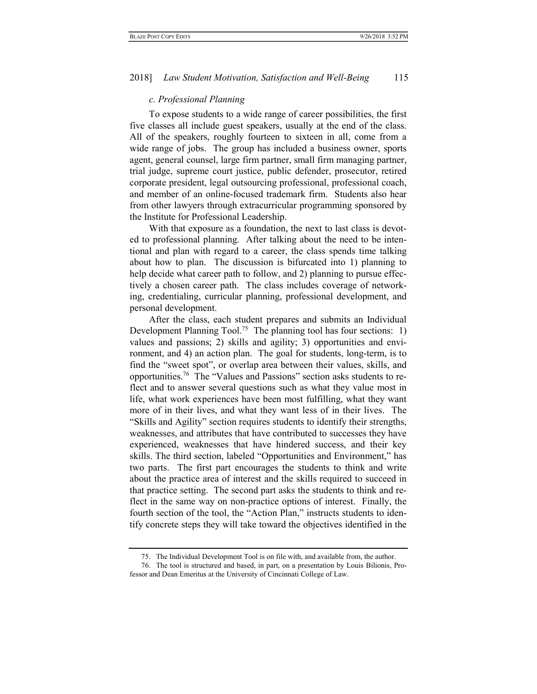#### c. Professional Planning

To expose students to a wide range of career possibilities, the first five classes all include guest speakers, usually at the end of the class. All of the speakers, roughly fourteen to sixteen in all, come from a wide range of jobs. The group has included a business owner, sports agent, general counsel, large firm partner, small firm managing partner, trial judge, supreme court justice, public defender, prosecutor, retired corporate president, legal outsourcing professional, professional coach, and member of an online-focused trademark firm. Students also hear from other lawyers through extracurricular programming sponsored by the Institute for Professional Leadership.

With that exposure as a foundation, the next to last class is devoted to professional planning. After talking about the need to be intentional and plan with regard to a career, the class spends time talking about how to plan. The discussion is bifurcated into 1) planning to help decide what career path to follow, and 2) planning to pursue effectively a chosen career path. The class includes coverage of networking, credentialing, curricular planning, professional development, and personal development.

After the class, each student prepares and submits an Individual Development Planning Tool.<sup>75</sup> The planning tool has four sections: 1) values and passions; 2) skills and agility; 3) opportunities and environment, and 4) an action plan. The goal for students, long-term, is to find the "sweet spot", or overlap area between their values, skills, and opportunities.76 The "Values and Passions" section asks students to reflect and to answer several questions such as what they value most in life, what work experiences have been most fulfilling, what they want more of in their lives, and what they want less of in their lives. The "Skills and Agility" section requires students to identify their strengths, weaknesses, and attributes that have contributed to successes they have experienced, weaknesses that have hindered success, and their key skills. The third section, labeled "Opportunities and Environment," has two parts. The first part encourages the students to think and write about the practice area of interest and the skills required to succeed in that practice setting. The second part asks the students to think and reflect in the same way on non-practice options of interest. Finally, the fourth section of the tool, the "Action Plan," instructs students to identify concrete steps they will take toward the objectives identified in the

 <sup>75.</sup> The Individual Development Tool is on file with, and available from, the author.

 <sup>76.</sup> The tool is structured and based, in part, on a presentation by Louis Bilionis, Professor and Dean Emeritus at the University of Cincinnati College of Law.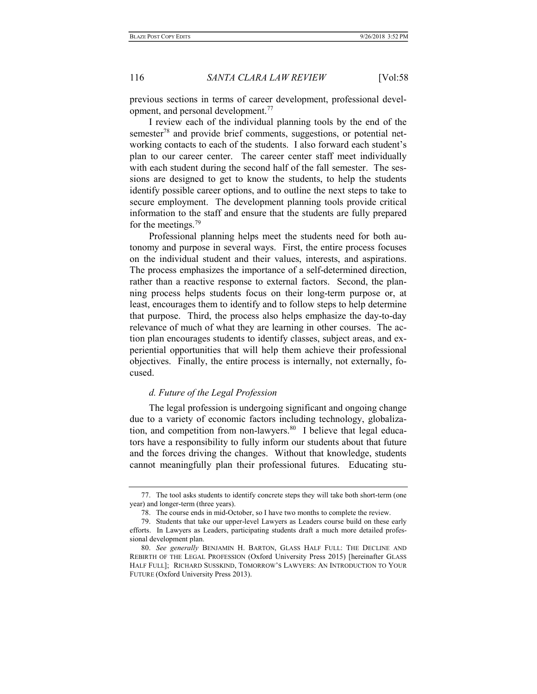previous sections in terms of career development, professional development, and personal development.<sup>77</sup>

I review each of the individual planning tools by the end of the semester<sup>78</sup> and provide brief comments, suggestions, or potential networking contacts to each of the students. I also forward each student's plan to our career center. The career center staff meet individually with each student during the second half of the fall semester. The sessions are designed to get to know the students, to help the students identify possible career options, and to outline the next steps to take to secure employment. The development planning tools provide critical information to the staff and ensure that the students are fully prepared for the meetings.<sup>79</sup>

Professional planning helps meet the students need for both autonomy and purpose in several ways. First, the entire process focuses on the individual student and their values, interests, and aspirations. The process emphasizes the importance of a self-determined direction, rather than a reactive response to external factors. Second, the planning process helps students focus on their long-term purpose or, at least, encourages them to identify and to follow steps to help determine that purpose. Third, the process also helps emphasize the day-to-day relevance of much of what they are learning in other courses. The action plan encourages students to identify classes, subject areas, and experiential opportunities that will help them achieve their professional objectives. Finally, the entire process is internally, not externally, focused.

#### d. Future of the Legal Profession

The legal profession is undergoing significant and ongoing change due to a variety of economic factors including technology, globalization, and competition from non-lawyers. $80$  I believe that legal educators have a responsibility to fully inform our students about that future and the forces driving the changes. Without that knowledge, students cannot meaningfully plan their professional futures. Educating stu-

 <sup>77.</sup> The tool asks students to identify concrete steps they will take both short-term (one year) and longer-term (three years).

 <sup>78.</sup> The course ends in mid-October, so I have two months to complete the review.

 <sup>79.</sup> Students that take our upper-level Lawyers as Leaders course build on these early efforts. In Lawyers as Leaders, participating students draft a much more detailed professional development plan.

<sup>80.</sup> See generally BENJAMIN H. BARTON, GLASS HALF FULL: THE DECLINE AND REBIRTH OF THE LEGAL PROFESSION (Oxford University Press 2015) [hereinafter GLASS HALF FULL]; RICHARD SUSSKIND, TOMORROW'S LAWYERS: AN INTRODUCTION TO YOUR FUTURE (Oxford University Press 2013).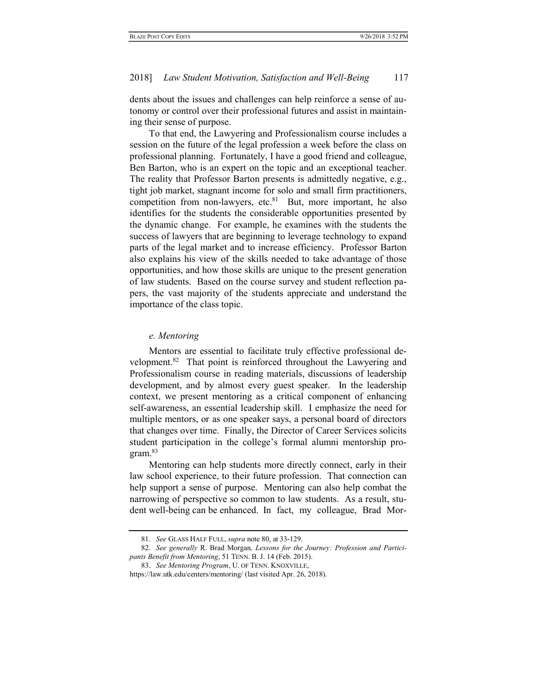dents about the issues and challenges can help reinforce a sense of autonomy or control over their professional futures and assist in maintaining their sense of purpose.

To that end, the Lawyering and Professionalism course includes a session on the future of the legal profession a week before the class on professional planning. Fortunately, I have a good friend and colleague, Ben Barton, who is an expert on the topic and an exceptional teacher. The reality that Professor Barton presents is admittedly negative, e.g., tight job market, stagnant income for solo and small firm practitioners, competition from non-lawyers, etc. $81$  But, more important, he also identifies for the students the considerable opportunities presented by the dynamic change. For example, he examines with the students the success of lawyers that are beginning to leverage technology to expand parts of the legal market and to increase efficiency. Professor Barton also explains his view of the skills needed to take advantage of those opportunities, and how those skills are unique to the present generation of law students. Based on the course survey and student reflection papers, the vast majority of the students appreciate and understand the importance of the class topic.

#### e. Mentoring

Mentors are essential to facilitate truly effective professional development.<sup>82</sup> That point is reinforced throughout the Lawyering and Professionalism course in reading materials, discussions of leadership development, and by almost every guest speaker. In the leadership context, we present mentoring as a critical component of enhancing self-awareness, an essential leadership skill. I emphasize the need for multiple mentors, or as one speaker says, a personal board of directors that changes over time. Finally, the Director of Career Services solicits student participation in the college's formal alumni mentorship program.<sup>83</sup>

Mentoring can help students more directly connect, early in their law school experience, to their future profession. That connection can help support a sense of purpose. Mentoring can also help combat the narrowing of perspective so common to law students. As a result, student well-being can be enhanced. In fact, my colleague, Brad Mor-

 <sup>81.</sup> See GLASS HALF FULL, supra note 80, at 33-129.

 <sup>82.</sup> See generally R. Brad Morgan, Lessons for the Journey: Profession and Participants Benefit from Mentoring, 51 TENN. B. J. 14 (Feb. 2015).

 <sup>83.</sup> See Mentoring Program, U. OF TENN. KNOXVILLE,

https://law.utk.edu/centers/mentoring/ (last visited Apr. 26, 2018).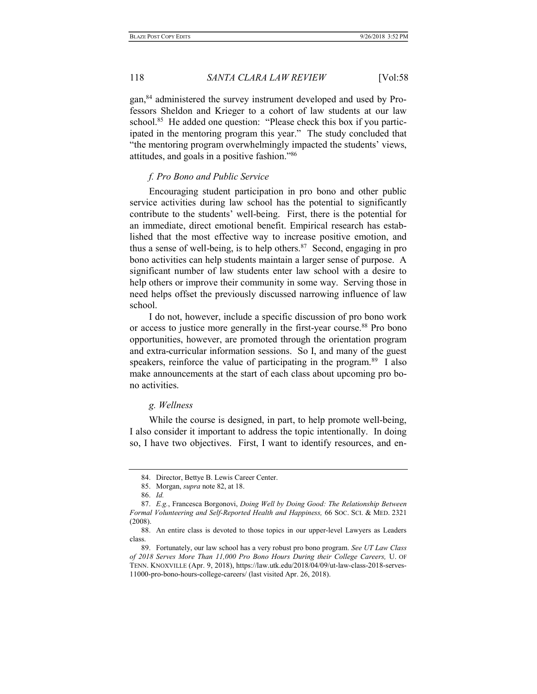gan,84 administered the survey instrument developed and used by Professors Sheldon and Krieger to a cohort of law students at our law school.<sup>85</sup> He added one question: "Please check this box if you participated in the mentoring program this year." The study concluded that "the mentoring program overwhelmingly impacted the students' views, attitudes, and goals in a positive fashion."<sup>86</sup>

#### f. Pro Bono and Public Service

Encouraging student participation in pro bono and other public service activities during law school has the potential to significantly contribute to the students' well-being. First, there is the potential for an immediate, direct emotional benefit. Empirical research has established that the most effective way to increase positive emotion, and thus a sense of well-being, is to help others. $87$  Second, engaging in pro bono activities can help students maintain a larger sense of purpose. A significant number of law students enter law school with a desire to help others or improve their community in some way. Serving those in need helps offset the previously discussed narrowing influence of law school.

I do not, however, include a specific discussion of pro bono work or access to justice more generally in the first-year course.<sup>88</sup> Pro bono opportunities, however, are promoted through the orientation program and extra-curricular information sessions. So I, and many of the guest speakers, reinforce the value of participating in the program.<sup>89</sup> I also make announcements at the start of each class about upcoming pro bono activities.

## g. Wellness

While the course is designed, in part, to help promote well-being, I also consider it important to address the topic intentionally. In doing so, I have two objectives. First, I want to identify resources, and en-

 <sup>84.</sup> Director, Bettye B. Lewis Career Center.

 <sup>85.</sup> Morgan, supra note 82, at 18.

 <sup>86.</sup> Id.

 <sup>87.</sup> E.g., Francesca Borgonovi, Doing Well by Doing Good: The Relationship Between Formal Volunteering and Self-Reported Health and Happiness, 66 SOC. SCI. & MED. 2321 (2008).

 <sup>88.</sup> An entire class is devoted to those topics in our upper-level Lawyers as Leaders class.

<sup>89.</sup> Fortunately, our law school has a very robust pro bono program. See UT Law Class of 2018 Serves More Than 11,000 Pro Bono Hours During their College Careers, U. OF TENN. KNOXVILLE (Apr. 9, 2018), https://law.utk.edu/2018/04/09/ut-law-class-2018-serves-11000-pro-bono-hours-college-careers/ (last visited Apr. 26, 2018).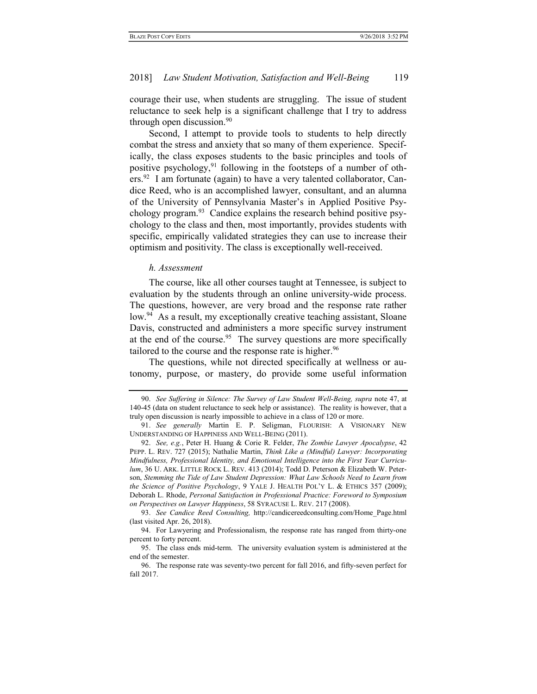courage their use, when students are struggling. The issue of student reluctance to seek help is a significant challenge that I try to address through open discussion.<sup>90</sup>

Second, I attempt to provide tools to students to help directly combat the stress and anxiety that so many of them experience. Specifically, the class exposes students to the basic principles and tools of positive psychology, $91$  following in the footsteps of a number of oth $ers.^{92}$  I am fortunate (again) to have a very talented collaborator, Candice Reed, who is an accomplished lawyer, consultant, and an alumna of the University of Pennsylvania Master's in Applied Positive Psychology program.<sup>93</sup> Candice explains the research behind positive psychology to the class and then, most importantly, provides students with specific, empirically validated strategies they can use to increase their optimism and positivity. The class is exceptionally well-received.

#### h. Assessment

The course, like all other courses taught at Tennessee, is subject to evaluation by the students through an online university-wide process. The questions, however, are very broad and the response rate rather low.<sup>94</sup> As a result, my exceptionally creative teaching assistant, Sloane Davis, constructed and administers a more specific survey instrument at the end of the course.<sup>95</sup> The survey questions are more specifically tailored to the course and the response rate is higher.<sup>96</sup>

The questions, while not directed specifically at wellness or autonomy, purpose, or mastery, do provide some useful information

 <sup>90.</sup> See Suffering in Silence: The Survey of Law Student Well-Being, supra note 47, at 140-45 (data on student reluctance to seek help or assistance). The reality is however, that a truly open discussion is nearly impossible to achieve in a class of 120 or more.

 <sup>91.</sup> See generally Martin E. P. Seligman, FLOURISH: A VISIONARY NEW UNDERSTANDING OF HAPPINESS AND WELL-BEING (2011).

<sup>92.</sup> See, e.g., Peter H. Huang & Corie R. Felder, The Zombie Lawyer Apocalypse, 42 PEPP. L. REV. 727 (2015); Nathalie Martin, Think Like a (Mindful) Lawyer: Incorporating Mindfulness, Professional Identity, and Emotional Intelligence into the First Year Curriculum, 36 U. ARK. LITTLE ROCK L. REV. 413 (2014); Todd D. Peterson & Elizabeth W. Peterson, Stemming the Tide of Law Student Depression: What Law Schools Need to Learn from the Science of Positive Psychology, 9 YALE J. HEALTH POL'Y L. & ETHICS 357 (2009); Deborah L. Rhode, Personal Satisfaction in Professional Practice: Foreword to Symposium on Perspectives on Lawyer Happiness, 58 SYRACUSE L. REV. 217 (2008).

<sup>93.</sup> See Candice Reed Consulting, http://candicereedconsulting.com/Home Page.html (last visited Apr. 26, 2018).

 <sup>94.</sup> For Lawyering and Professionalism, the response rate has ranged from thirty-one percent to forty percent.

 <sup>95.</sup> The class ends mid-term. The university evaluation system is administered at the end of the semester.

 <sup>96.</sup> The response rate was seventy-two percent for fall 2016, and fifty-seven perfect for fall 2017.